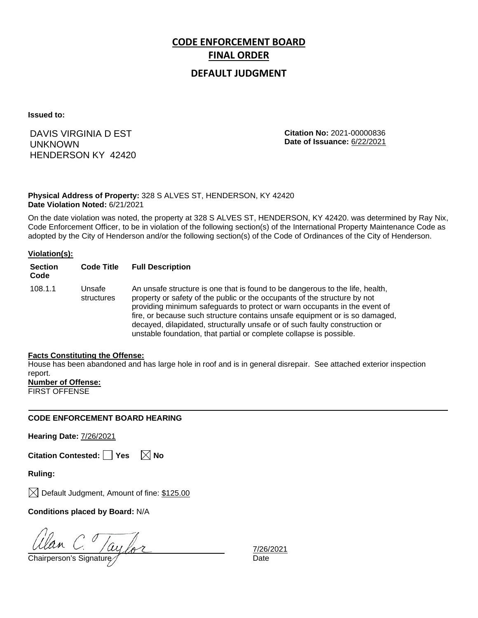# **CODE ENFORCEMENT BOARD FINAL ORDER**

### **DEFAULT JUDGMENT**

**Issued to:**

DAVIS VIRGINIA D EST UNKNOWN HENDERSON KY 42420 **Citation No:** 2021-00000836 **Date of Issuance:** 6/22/2021

#### **Physical Address of Property:** 328 S ALVES ST, HENDERSON, KY 42420 **Date Violation Noted:** 6/21/2021

On the date violation was noted, the property at 328 S ALVES ST, HENDERSON, KY 42420. was determined by Ray Nix, Code Enforcement Officer, to be in violation of the following section(s) of the International Property Maintenance Code as adopted by the City of Henderson and/or the following section(s) of the Code of Ordinances of the City of Henderson.

#### **Violation(s):**

| <b>Section</b><br>Code | <b>Code Title</b>    | <b>Full Description</b>                                                                                                                                                                                                                                                                                                                                                                                                                                                      |
|------------------------|----------------------|------------------------------------------------------------------------------------------------------------------------------------------------------------------------------------------------------------------------------------------------------------------------------------------------------------------------------------------------------------------------------------------------------------------------------------------------------------------------------|
| 108.1.1                | Unsafe<br>structures | An unsafe structure is one that is found to be dangerous to the life, health,<br>property or safety of the public or the occupants of the structure by not<br>providing minimum safeguards to protect or warn occupants in the event of<br>fire, or because such structure contains unsafe equipment or is so damaged,<br>decayed, dilapidated, structurally unsafe or of such faulty construction or<br>unstable foundation, that partial or complete collapse is possible. |

#### **Facts Constituting the Offense:**

House has been abandoned and has large hole in roof and is in general disrepair. See attached exterior inspection report.

**Number of Offense:**

FIRST OFFENSE

#### **CODE ENFORCEMENT BOARD HEARING**

**Hearing Date:** 7/26/2021

**Citation Contested: Yes No**

**Ruling:**

 $\boxtimes$  Default Judgment, Amount of fine: \$125.00

**Conditions placed by Board:** N/A

Clan C. Jaylor

7/26/2021<br>Date